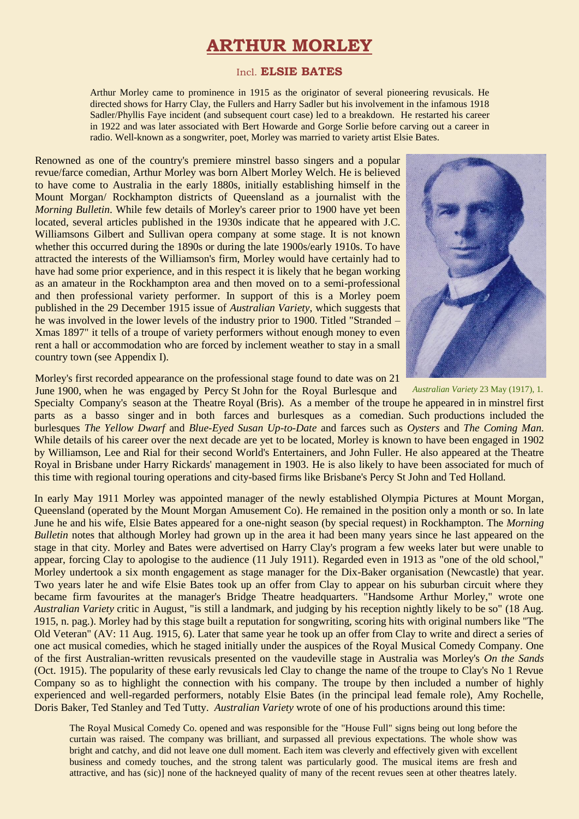# **ARTHUR MORLEY**

#### Incl. **ELSIE BATES**

Arthur Morley came to prominence in 1915 as the originator of several pioneering revusicals. He directed shows for Harry Clay, the Fullers and Harry Sadler but his involvement in the infamous 1918 Sadler/Phyllis Faye incident (and subsequent court case) led to a breakdown. He restarted his career in 1922 and was later associated with Bert Howarde and Gorge Sorlie before carving out a career in radio. Well-known as a songwriter, poet, Morley was married to variety artist Elsie Bates.

Renowned as one of the country's premiere minstrel basso singers and a popular revue/farce comedian, Arthur Morley was born Albert Morley Welch. He is believed to have come to Australia in the early 1880s, initially establishing himself in the Mount Morgan/ Rockhampton districts of Queensland as a journalist with the *Morning Bulletin*. While few details of Morley's career prior to 1900 have yet been located, several articles published in the 1930s indicate that he appeared with J.C. Williamsons Gilbert and Sullivan opera company at some stage. It is not known whether this occurred during the 1890s or during the late 1900s/early 1910s. To have attracted the interests of the Williamson's firm, Morley would have certainly had to have had some prior experience, and in this respect it is likely that he began working as an amateur in the Rockhampton area and then moved on to a semi-professional and then professional variety performer. In support of this is a Morley poem published in the 29 December 1915 issue of *Australian Variety*, which suggests that he was involved in the lower levels of the industry prior to 1900. Titled "Stranded – Xmas 1897" it tells of a troupe of variety performers without enough money to even rent a hall or accommodation who are forced by inclement weather to stay in a small country town (see Appendix I).



Morley's first recorded appearance on the professional stage found to date was on 21 June 1900, when he was engaged by Percy St John for the Royal Burlesque and *Australian Variety* 23 May (1917), 1.

Specialty Company's season at the Theatre Royal (Bris). As a member of the troupe he appeared in in minstrel first parts as a basso singer and in both farces and burlesques as a comedian. Such productions included the burlesques *The Yellow Dwarf* and *Blue-Eyed Susan Up-to-Date* and farces such as *Oysters* and *The Coming Man*. While details of his career over the next decade are yet to be located, Morley is known to have been engaged in 1902 by Williamson, Lee and Rial for their second World's Entertainers, and John Fuller. He also appeared at the Theatre Royal in Brisbane under Harry Rickards' management in 1903. He is also likely to have been associated for much of this time with regional touring operations and city-based firms like Brisbane's Percy St John and Ted Holland.

In early May 1911 Morley was appointed manager of the newly established Olympia Pictures at Mount Morgan, Queensland (operated by the Mount Morgan Amusement Co). He remained in the position only a month or so. In late June he and his wife, Elsie Bates appeared for a one-night season (by special request) in Rockhampton. The *Morning Bulletin* notes that although Morley had grown up in the area it had been many years since he last appeared on the stage in that city. Morley and Bates were advertised on Harry Clay's program a few weeks later but were unable to appear, forcing Clay to apologise to the audience (11 July 1911). Regarded even in 1913 as "one of the old school," Morley undertook a six month engagement as stage manager for the Dix-Baker organisation (Newcastle) that year. Two years later he and wife Elsie Bates took up an offer from Clay to appear on his suburban circuit where they became firm favourites at the manager's Bridge Theatre headquarters. "Handsome Arthur Morley," wrote one *Australian Variety* critic in August, "is still a landmark, and judging by his reception nightly likely to be so" (18 Aug. 1915, n. pag.). Morley had by this stage built a reputation for songwriting, scoring hits with original numbers like "The Old Veteran" (AV: 11 Aug. 1915, 6). Later that same year he took up an offer from Clay to write and direct a series of one act musical comedies, which he staged initially under the auspices of the Royal Musical Comedy Company. One of the first Australian-written revusicals presented on the vaudeville stage in Australia was Morley's *On the Sands* (Oct. 1915). The popularity of these early revusicals led Clay to change the name of the troupe to Clay's No 1 Revue Company so as to highlight the connection with his company. The troupe by then included a number of highly experienced and well-regarded performers, notably Elsie Bates (in the principal lead female role), Amy Rochelle, Doris Baker, Ted Stanley and Ted Tutty. *Australian Variety* wrote of one of his productions around this time:

The Royal Musical Comedy Co. opened and was responsible for the "House Full" signs being out long before the curtain was raised. The company was brilliant, and surpassed all previous expectations. The whole show was bright and catchy, and did not leave one dull moment. Each item was cleverly and effectively given with excellent business and comedy touches, and the strong talent was particularly good. The musical items are fresh and attractive, and has (sic)] none of the hackneyed quality of many of the recent revues seen at other theatres lately.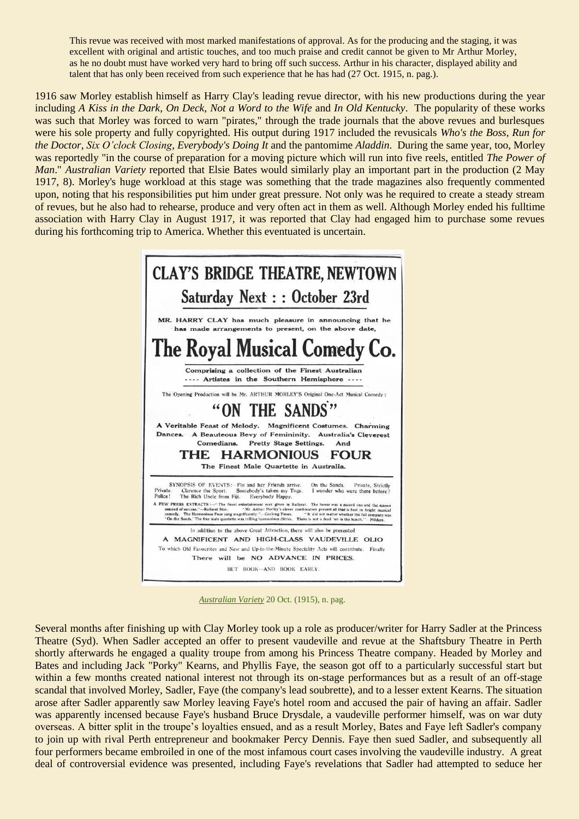This revue was received with most marked manifestations of approval. As for the producing and the staging, it was excellent with original and artistic touches, and too much praise and credit cannot be given to Mr Arthur Morley, as he no doubt must have worked very hard to bring off such success. Arthur in his character, displayed ability and talent that has only been received from such experience that he has had (27 Oct. 1915, n. pag.).

1916 saw Morley establish himself as Harry Clay's leading revue director, with his new productions during the year including *A Kiss in the Dark*, *On Deck*, *Not a Word to the Wife* and *In Old Kentucky*. The popularity of these works was such that Morley was forced to warn "pirates," through the trade journals that the above revues and burlesques were his sole property and fully copyrighted. His output during 1917 included the revusicals *Who's the Boss*, *Run for the Doctor*, *Six O'clock Closing*, *Everybody's Doing It* and the pantomime *Aladdin*. During the same year, too, Morley was reportedly "in the course of preparation for a moving picture which will run into five reels, entitled *The Power of Man*." *Australian Variety* reported that Elsie Bates would similarly play an important part in the production (2 May 1917, 8). Morley's huge workload at this stage was something that the trade magazines also frequently commented upon, noting that his responsibilities put him under great pressure. Not only was he required to create a steady stream of revues, but he also had to rehearse, produce and very often act in them as well. Although Morley ended his fulltime association with Harry Clay in August 1917, it was reported that Clay had engaged him to purchase some revues during his forthcoming trip to America. Whether this eventuated is uncertain.



*Australian Variety* 20 Oct. (1915), n. pag.

Several months after finishing up with Clay Morley took up a role as producer/writer for Harry Sadler at the Princess Theatre (Syd). When Sadler accepted an offer to present vaudeville and revue at the Shaftsbury Theatre in Perth shortly afterwards he engaged a quality troupe from among his Princess Theatre company. Headed by Morley and Bates and including Jack "Porky" Kearns, and Phyllis Faye, the season got off to a particularly successful start but within a few months created national interest not through its on-stage performances but as a result of an off-stage scandal that involved Morley, Sadler, Faye (the company's lead soubrette), and to a lesser extent Kearns. The situation arose after Sadler apparently saw Morley leaving Faye's hotel room and accused the pair of having an affair. Sadler was apparently incensed because Faye's husband Bruce Drysdale, a vaudeville performer himself, was on war duty overseas. A bitter split in the troupe's loyalties ensued, and as a result Morley, Bates and Faye left Sadler's company to join up with rival Perth entrepreneur and bookmaker Percy Dennis. Faye then sued Sadler, and subsequently all four performers became embroiled in one of the most infamous court cases involving the vaudeville industry. A great deal of controversial evidence was presented, including Faye's revelations that Sadler had attempted to seduce her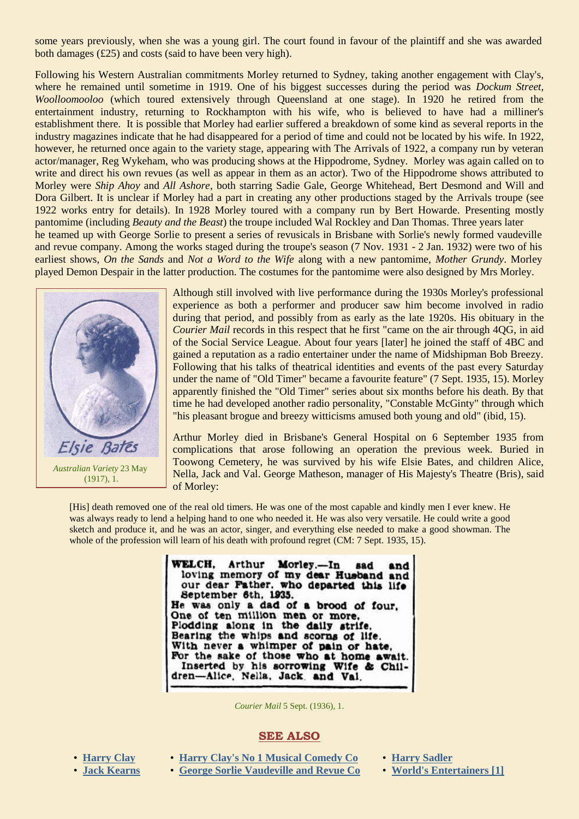some years previously, when she was a young girl. The court found in favour of the plaintiff and she was awarded both damages (£25) and costs (said to have been very high).

Following his Western Australian commitments Morley returned to Sydney, taking another engagement with Clay's, where he remained until sometime in 1919. One of his biggest successes during the period was *Dockum Street, Woolloomooloo* (which toured extensively through Queensland at one stage). In 1920 he retired from the entertainment industry, returning to Rockhampton with his wife, who is believed to have had a milliner's establishment there. It is possible that Morley had earlier suffered a breakdown of some kind as several reports in the industry magazines indicate that he had disappeared for a period of time and could not be located by his wife. In 1922, however, he returned once again to the variety stage, appearing with The Arrivals of 1922, a company run by veteran actor/manager, Reg Wykeham, who was producing shows at the Hippodrome, Sydney. Morley was again called on to write and direct his own revues (as well as appear in them as an actor). Two of the Hippodrome shows attributed to Morley were *Ship Ahoy* and *All Ashore*, both starring Sadie Gale, George Whitehead, Bert Desmond and Will and Dora Gilbert. It is unclear if Morley had a part in creating any other productions staged by the Arrivals troupe (see 1922 works entry for details). In 1928 Morley toured with a company run by Bert Howarde. Presenting mostly pantomime (including *Beauty and the Beast*) the troupe included Wal Rockley and Dan Thomas. Three years later he teamed up with George Sorlie to present a series of revusicals in Brisbane with Sorlie's newly formed vaudeville and revue company. Among the works staged during the troupe's season (7 Nov. 1931 - 2 Jan. 1932) were two of his earliest shows, *On the Sands* and *Not a Word to the Wife* along with a new pantomime, *Mother Grundy*. Morley played Demon Despair in the latter production. The costumes for the pantomime were also designed by Mrs Morley.



*Australian Variety* 23 May (1917), 1.

Although still involved with live performance during the 1930s Morley's professional experience as both a performer and producer saw him become involved in radio during that period, and possibly from as early as the late 1920s. His obituary in the *Courier Mail* records in this respect that he first "came on the air through 4OG, in aid of the Social Service League. About four years [later] he joined the staff of 4BC and gained a reputation as a radio entertainer under the name of Midshipman Bob Breezy. Following that his talks of theatrical identities and events of the past every Saturday under the name of "Old Timer" became a favourite feature" (7 Sept. 1935, 15). Morley apparently finished the "Old Timer" series about six months before his death. By that time he had developed another radio personality, "Constable McGinty" through which "his pleasant brogue and breezy witticisms amused both young and old" (ibid, 15).

Arthur Morley died in Brisbane's General Hospital on 6 September 1935 from complications that arose following an operation the previous week. Buried in Toowong Cemetery, he was survived by his wife Elsie Bates, and children Alice, Nella, Jack and Val. George Matheson, manager of His Majesty's Theatre (Bris), said of Morley:

[His] death removed one of the real old timers. He was one of the most capable and kindly men I ever knew. He was always ready to lend a helping hand to one who needed it. He was also very versatile. He could write a good sketch and produce it, and he was an actor, singer, and everything else needed to make a good showman. The whole of the profession will learn of his death with profound regret (CM: 7 Sept. 1935, 15).

> WELCH. Arthur Morley.-In sad and loving memory of my dear Husband and our dear Father, who departed this life September 6th, 1935. He was only a dad of a brood of four. One of ten million men or more. Plodding along in the daily strife. Bearing the whips and scorns of life. With never a whimper of pain or hate. For the sake of those who at home await. Inserted by his sorrowing Wife & Children-Alice, Nella, Jack, and Val.

> > *Courier Mail* 5 Sept. (1936), 1.

#### **SEE ALSO**

- 
- **[Harry Clay](http://ozvta.com/entrepreneurs-a-f/) [Harry Clay's No 1 Musical Comedy Co](http://ozvta.com/troupes-g-l/) [Harry Sadler](http://ozvta.com/entrepreneurs-s-z/)**
- **[Jack Kearns](http://ozvta.com/practitioners-k/) [George Sorlie Vaudeville and Revue Co](http://ozvta.com/troupes-g-l/) [World's Entertainers](http://ozvta.com/international-tourists/) [1]**
- 
-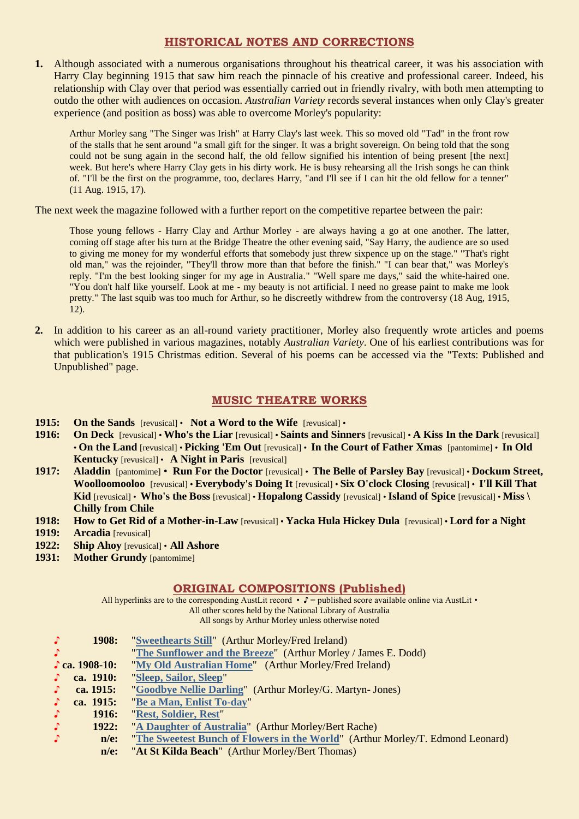## **HISTORICAL NOTES AND CORRECTIONS**

**1.** Although associated with a numerous organisations throughout his theatrical career, it was his association with Harry Clay beginning 1915 that saw him reach the pinnacle of his creative and professional career. Indeed, his relationship with Clay over that period was essentially carried out in friendly rivalry, with both men attempting to outdo the other with audiences on occasion. *Australian Variety* records several instances when only Clay's greater experience (and position as boss) was able to overcome Morley's popularity:

Arthur Morley sang "The Singer was Irish" at Harry Clay's last week. This so moved old "Tad" in the front row of the stalls that he sent around "a small gift for the singer. It was a bright sovereign. On being told that the song could not be sung again in the second half, the old fellow signified his intention of being present [the next] week. But here's where Harry Clay gets in his dirty work. He is busy rehearsing all the Irish songs he can think of. "I'll be the first on the programme, too, declares Harry, "and I'll see if I can hit the old fellow for a tenner" (11 Aug. 1915, 17).

The next week the magazine followed with a further report on the competitive repartee between the pair:

Those young fellows - Harry Clay and Arthur Morley - are always having a go at one another. The latter, coming off stage after his turn at the Bridge Theatre the other evening said, "Say Harry, the audience are so used to giving me money for my wonderful efforts that somebody just threw sixpence up on the stage." "That's right old man," was the rejoinder, "They'll throw more than that before the finish." "I can bear that," was Morley's reply. "I'm the best looking singer for my age in Australia." "Well spare me days," said the white-haired one. "You don't half like yourself. Look at me - my beauty is not artificial. I need no grease paint to make me look pretty." The last squib was too much for Arthur, so he discreetly withdrew from the controversy (18 Aug, 1915, 12).

**2.** In addition to his career as an all-round variety practitioner, Morley also frequently wrote articles and poems which were published in various magazines, notably *Australian Variety*. One of his earliest contributions was for that publication's 1915 Christmas edition. Several of his poems can be accessed via the "Texts: Published and Unpublished" page.

## **MUSIC THEATRE WORKS**

- **1915:** On the Sands [revusical] Not a Word to the Wife [revusical] •
- **1916: On Deck** [revusical] **Who's the Liar** [revusical] **Saints and Sinners** [revusical] **A Kiss In the Dark** [revusical] • **On the Land** [revusical] • **Picking 'Em Out** [revusical] • **In the Court of Father Xmas** [pantomime] • **In Old Kentucky** [revusical] • **A Night in Paris** [revusical]
- **1917: Aladdin** [pantomime] **Run For the Doctor** [revusical] **The Belle of Parsley Bay** [revusical] **Dockum Street, Woolloomooloo** [revusical] • **Everybody's Doing It** [revusical] • **Six O'clock Closing** [revusical] • **I'll Kill That Kid** [revusical] • **Who's the Boss** [revusical] • **Hopalong Cassidy** [revusical] • **Island of Spice** [revusical] • **Miss \ Chilly from Chile**
- **1918: How to Get Rid of a Mother-in-Law** [revusical] **Yacka Hula Hickey Dula** [revusical] **Lord for a Night**
- **1919: Arcadia** [revusical]
- **1922: Ship Ahoy** [revusical] **All Ashore**
- **1931: Mother Grundy** [pantomime]

## **ORIGINAL COMPOSITIONS (Published)**

All hyperlinks are to the corresponding AustLit record •  $\mathbf{F} =$  published score available online via AustLit • All other scores held by the National Library of Australia All songs by Arthur Morley unless otherwise noted

| $\cdot$       | 1908:                 | "Sweethearts Still" (Arthur Morley/Fred Ireland)                               |
|---------------|-----------------------|--------------------------------------------------------------------------------|
| J.            |                       | "The Sunflower and the Breeze" (Arthur Morley / James E. Dodd)                 |
|               | $\Gamma$ ca. 1908-10: | "My Old Australian Home" (Arthur Morley/Fred Ireland)                          |
| J.            | ca. 1910:             | "Sleep, Sailor, Sleep"                                                         |
| Л.            | ca. 1915:             | "Goodbye Nellie Darling" (Arthur Morley/G. Martyn- Jones)                      |
| $\mathcal{L}$ | ca. 1915:             | "Be a Man, Enlist To-day"                                                      |
| $\mathcal{L}$ | <b>1916:</b>          | "Rest, Soldier, Rest"                                                          |
| $\mathcal{L}$ | 1922:                 | "A Daughter of Australia" (Arthur Morley/Bert Rache)                           |
| $\mathcal{L}$ | $n/e$ :               | "The Sweetest Bunch of Flowers in the World" (Arthur Morley/T. Edmond Leonard) |
|               | $n/e$ :               | "At St Kilda Beach" (Arthur Morley/Bert Thomas)                                |

 **n/e:** "**At St Kilda Beach**" (Arthur Morley/Bert Thomas)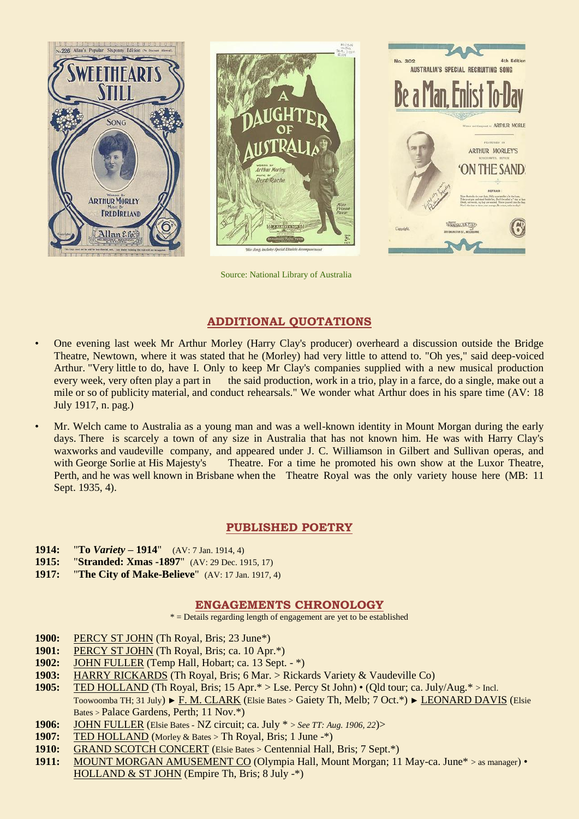





AUSTRALIA'S SPECIAL RECRUITING SONG

 $A + b = 0$ 

Source: National Library of Australia

## **ADDITIONAL QUOTATIONS**

- One evening last week Mr Arthur Morley (Harry Clay's producer) overheard a discussion outside the Bridge Theatre, Newtown, where it was stated that he (Morley) had very little to attend to. "Oh yes," said deep-voiced Arthur. "Very little to do, have I. Only to keep Mr Clay's companies supplied with a new musical production every week, very often play a part in the said production, work in a trio, play in a farce, do a single, make out a mile or so of publicity material, and conduct rehearsals." We wonder what Arthur does in his spare time (AV: 18 July 1917, n. pag.)
- Mr. Welch came to Australia as a young man and was a well-known identity in Mount Morgan during the early days. There is scarcely a town of any size in Australia that has not known him. He was with Harry Clay's waxworks and vaudeville company, and appeared under J. C. Williamson in Gilbert and Sullivan operas, and with George Sorlie at His Majesty's Theatre. For a time he promoted his own show at the Luxor Theatre, Perth, and he was well known in Brisbane when the Theatre Royal was the only variety house here (MB: 11 Sept. 1935, 4).

## **PUBLISHED POETRY**

- **1914:** "**To** *Variety* **– 1914**"(AV: 7 Jan. 1914, 4)
- **1915:** "**Stranded: Xmas -1897**" (AV: 29 Dec. 1915, 17)
- **1917:** "**The City of Make-Believe**" (AV: 17 Jan. 1917, 4)

## **ENGAGEMENTS CHRONOLOGY**

 $*$  = Details regarding length of engagement are yet to be established

- **1900:** PERCY ST JOHN (Th Royal, Bris; 23 June\*)
- **1901:** PERCY ST JOHN (Th Royal, Bris; ca. 10 Apr.\*)
- **1902:** JOHN FULLER (Temp Hall, Hobart; ca. 13 Sept. \*)
- **1903:** HARRY RICKARDS (Th Royal, Bris; 6 Mar. > Rickards Variety & Vaudeville Co)
- **1905:** TED HOLLAND (Th Royal, Bris; 15 Apr.\* > Lse. Percy St John) (Qld tour; ca. July/Aug.\* > Incl. Toowoomba TH; 31 July) ► F. M. CLARK (Elsie Bates > Gaiety Th, Melb; 7 Oct.\*) ► LEONARD DAVIS (Elsie Bates > Palace Gardens, Perth; 11 Nov.\*)
- **1906:** JOHN FULLER (Elsie Bates NZ circuit; ca. July \* > *See TT: Aug. 1906, 22*)>
- **1907:** TED HOLLAND (Morley & Bates > Th Royal, Bris; 1 June -\*)
- **1910:** GRAND SCOTCH CONCERT (Elsie Bates > Centennial Hall, Bris; 7 Sept.\*)
- 1911: MOUNT MORGAN AMUSEMENT CO (Olympia Hall, Mount Morgan; 11 May-ca. June<sup>\*</sup> > as manager) HOLLAND & ST JOHN (Empire Th, Bris; 8 July -\*)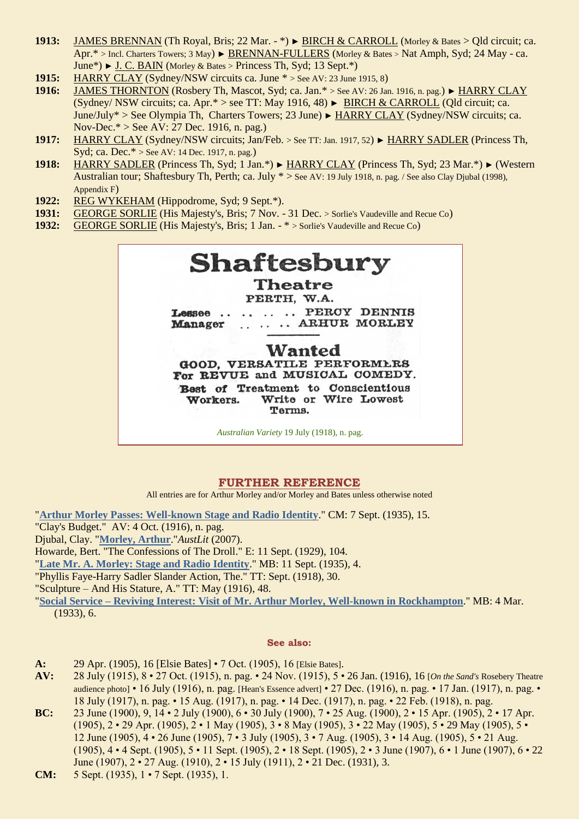- **1913:** JAMES BRENNAN (Th Royal, Bris; 22 Mar. \*) ► BIRCH & CARROLL (Morley & Bates > Qld circuit; ca. Apr.\* > Incl. Charters Towers; 3 May) ► BRENNAN-FULLERS (Morley & Bates > Nat Amph, Syd; 24 May - ca. June\*) ► J. C. BAIN (Morley & Bates > Princess Th, Syd; 13 Sept.\*)
- **1915:** HARRY CLAY (Sydney/NSW circuits ca. June \* > See AV: 23 June 1915, 8)
- **1916:** JAMES THORNTON (Rosbery Th, Mascot, Syd; ca. Jan.\* > See AV: 26 Jan. 1916, n. pag.) ► HARRY CLAY (Sydney/ NSW circuits; ca. Apr.\* > see TT: May 1916, 48) ► BIRCH & CARROLL (Qld circuit; ca. June/July\* > See Olympia Th, Charters Towers; 23 June) ► HARRY CLAY (Sydney/NSW circuits; ca. Nov-Dec.\* > See AV: 27 Dec. 1916, n. pag.)
- **1917:** HARRY CLAY (Sydney/NSW circuits; Jan/Feb. > See TT: Jan. 1917, 52) ► HARRY SADLER (Princess Th, Syd; ca. Dec.\* > See AV: 14 Dec. 1917, n. pag.)
- **1918:** HARRY SADLER (Princess Th, Syd; 1 Jan.\*) ► HARRY CLAY (Princess Th, Syd; 23 Mar.\*) ► (Western Australian tour; Shaftesbury Th, Perth; ca. July \* > See AV: 19 July 1918, n. pag. / See also Clay Djubal (1998), Appendix F)
- **1922:** REG WYKEHAM (Hippodrome, Syd; 9 Sept.\*).
- **1931:** GEORGE SORLIE (His Majesty's, Bris; 7 Nov. 31 Dec. > Sorlie's Vaudeville and Recue Co)
- **1932:** GEORGE SORLIE (His Majesty's, Bris; 1 Jan. \* > Sorlie's Vaudeville and Recue Co)



## **FURTHER REFERENCE**

All entries are for Arthur Morley and/or Morley and Bates unless otherwise noted

"**[Arthur Morley Passes: Well-known Stage and Radio Identity](http://trove.nla.gov.au/ndp/del/page/1959380)**." CM: 7 Sept. (1935), 15. "Clay's Budget." AV: 4 Oct. (1916), n. pag. Djubal, Clay. "**[Morley, Arthur](http://austlit.edu.au/run?ex=ShowAgent&agentId=A9He)**."*AustLit* (2007). Howarde, Bert. "The Confessions of The Droll." E: 11 Sept. (1929), 104. "**[Late Mr. A. Morley: Stage and Radio Identity](http://trove.nla.gov.au/ndp/del/page/5377128)**." MB: 11 Sept. (1935), 4.

"Phyllis Faye-Harry Sadler Slander Action, The." TT: Sept. (1918), 30.

"Sculpture – And His Stature, A." TT: May (1916), 48.

"**Social Service – [Reviving Interest: Visit of Mr. Arthur Morley, Well-known in Rockhampton](http://trove.nla.gov.au/ndp/del/page/5366144)**." MB: 4 Mar. (1933), 6.

#### **See also:**

- **A:** 29 Apr. (1905), 16 [Elsie Bates] 7 Oct. (1905), 16 [Elsie Bates].
- **AV:** 28 July (1915), 8 27 Oct. (1915), n. pag. 24 Nov. (1915), 5 26 Jan. (1916), 16 [*On the Sand's* Rosebery Theatre audience photo] • 16 July (1916), n. pag. [Hean's Essence advert] • 27 Dec. (1916), n. pag. • 17 Jan. (1917), n. pag. • 18 July (1917), n. pag. • 15 Aug. (1917), n. pag. • 14 Dec. (1917), n. pag. • 22 Feb. (1918), n. pag.
- **BC:** 23 June (1900), 9, 14 2 July (1900), 6 30 July (1900), 7 25 Aug. (1900), 2 15 Apr. (1905), 2 17 Apr. (1905), 2 • 29 Apr. (1905), 2 • 1 May (1905), 3 • 8 May (1905), 3 • 22 May (1905), 5 • 29 May (1905), 5 • 12 June (1905), 4 • 26 June (1905), 7 • 3 July (1905), 3 • 7 Aug. (1905), 3 • 14 Aug. (1905), 5 • 21 Aug. (1905), 4 • 4 Sept. (1905), 5 • 11 Sept. (1905), 2 • 18 Sept. (1905), 2 • 3 June (1907), 6 • 1 June (1907), 6 • 22 June (1907), 2 • 27 Aug. (1910), 2 • 15 July (1911), 2 • 21 Dec. (1931), 3.

**CM:** 5 Sept. (1935), 1 • 7 Sept. (1935), 1.